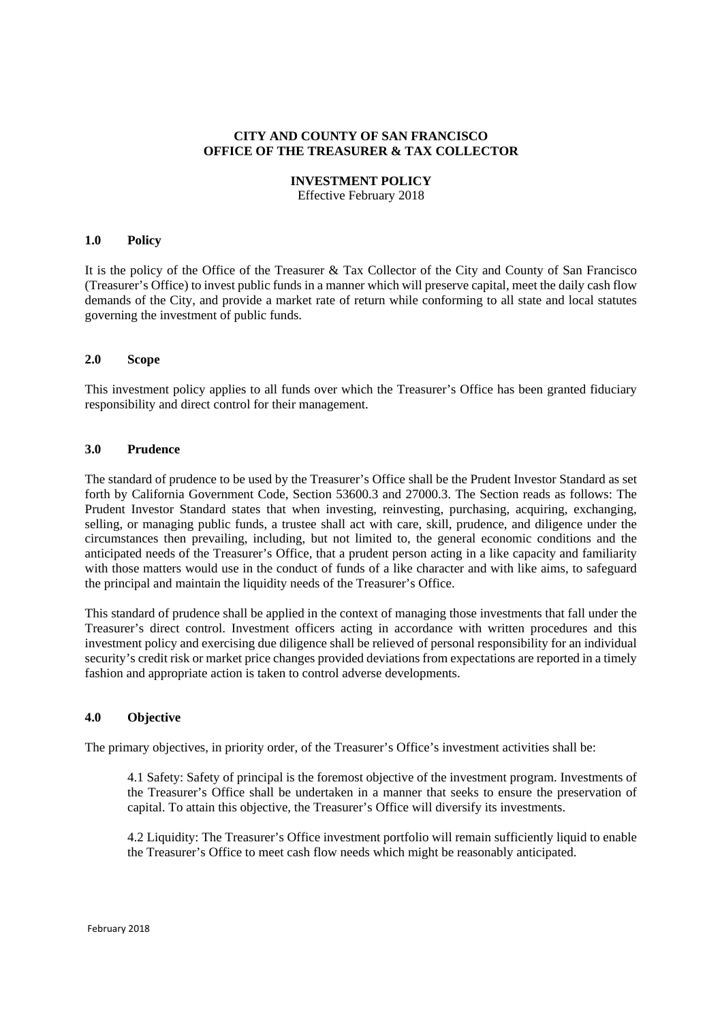## **CITY AND COUNTY OF SAN FRANCISCO OFFICE OF THE TREASURER & TAX COLLECTOR**

#### **INVESTMENT POLICY**

Effective February 2018

#### **1.0 Policy**

It is the policy of the Office of the Treasurer & Tax Collector of the City and County of San Francisco (Treasurer's Office) to invest public funds in a manner which will preserve capital, meet the daily cash flow demands of the City, and provide a market rate of return while conforming to all state and local statutes governing the investment of public funds.

#### **2.0 Scope**

This investment policy applies to all funds over which the Treasurer's Office has been granted fiduciary responsibility and direct control for their management.

#### **3.0 Prudence**

The standard of prudence to be used by the Treasurer's Office shall be the Prudent Investor Standard as set forth by California Government Code, Section 53600.3 and 27000.3. The Section reads as follows: The Prudent Investor Standard states that when investing, reinvesting, purchasing, acquiring, exchanging, selling, or managing public funds, a trustee shall act with care, skill, prudence, and diligence under the circumstances then prevailing, including, but not limited to, the general economic conditions and the anticipated needs of the Treasurer's Office, that a prudent person acting in a like capacity and familiarity with those matters would use in the conduct of funds of a like character and with like aims, to safeguard the principal and maintain the liquidity needs of the Treasurer's Office.

This standard of prudence shall be applied in the context of managing those investments that fall under the Treasurer's direct control. Investment officers acting in accordance with written procedures and this investment policy and exercising due diligence shall be relieved of personal responsibility for an individual security's credit risk or market price changes provided deviations from expectations are reported in a timely fashion and appropriate action is taken to control adverse developments.

## **4.0 Objective**

The primary objectives, in priority order, of the Treasurer's Office's investment activities shall be:

4.1 Safety: Safety of principal is the foremost objective of the investment program. Investments of the Treasurer's Office shall be undertaken in a manner that seeks to ensure the preservation of capital. To attain this objective, the Treasurer's Office will diversify its investments.

4.2 Liquidity: The Treasurer's Office investment portfolio will remain sufficiently liquid to enable the Treasurer's Office to meet cash flow needs which might be reasonably anticipated.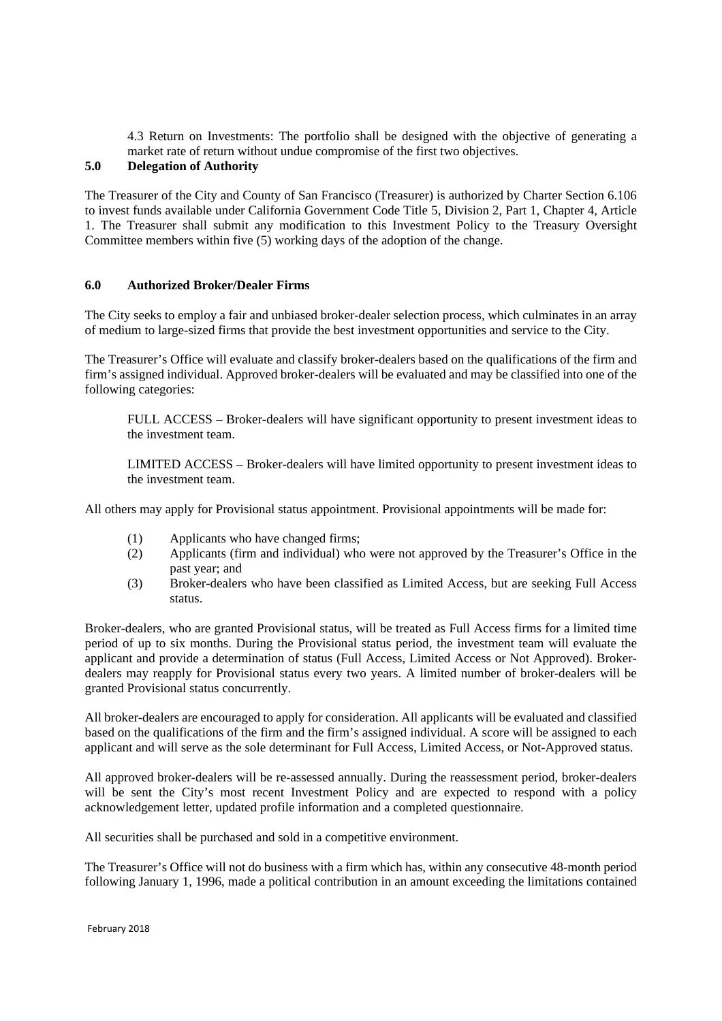4.3 Return on Investments: The portfolio shall be designed with the objective of generating a market rate of return without undue compromise of the first two objectives.

## **5.0 Delegation of Authority**

The Treasurer of the City and County of San Francisco (Treasurer) is authorized by Charter Section 6.106 to invest funds available under California Government Code Title 5, Division 2, Part 1, Chapter 4, Article 1. The Treasurer shall submit any modification to this Investment Policy to the Treasury Oversight Committee members within five (5) working days of the adoption of the change.

#### **6.0 Authorized Broker/Dealer Firms**

The City seeks to employ a fair and unbiased broker-dealer selection process, which culminates in an array of medium to large-sized firms that provide the best investment opportunities and service to the City.

The Treasurer's Office will evaluate and classify broker-dealers based on the qualifications of the firm and firm's assigned individual. Approved broker-dealers will be evaluated and may be classified into one of the following categories:

FULL ACCESS – Broker-dealers will have significant opportunity to present investment ideas to the investment team.

LIMITED ACCESS – Broker-dealers will have limited opportunity to present investment ideas to the investment team.

All others may apply for Provisional status appointment. Provisional appointments will be made for:

- (1) Applicants who have changed firms;
- (2) Applicants (firm and individual) who were not approved by the Treasurer's Office in the past year; and
- (3) Broker-dealers who have been classified as Limited Access, but are seeking Full Access status.

Broker-dealers, who are granted Provisional status, will be treated as Full Access firms for a limited time period of up to six months. During the Provisional status period, the investment team will evaluate the applicant and provide a determination of status (Full Access, Limited Access or Not Approved). Brokerdealers may reapply for Provisional status every two years. A limited number of broker-dealers will be granted Provisional status concurrently.

All broker-dealers are encouraged to apply for consideration. All applicants will be evaluated and classified based on the qualifications of the firm and the firm's assigned individual. A score will be assigned to each applicant and will serve as the sole determinant for Full Access, Limited Access, or Not-Approved status.

All approved broker-dealers will be re-assessed annually. During the reassessment period, broker-dealers will be sent the City's most recent Investment Policy and are expected to respond with a policy acknowledgement letter, updated profile information and a completed questionnaire.

All securities shall be purchased and sold in a competitive environment.

The Treasurer's Office will not do business with a firm which has, within any consecutive 48-month period following January 1, 1996, made a political contribution in an amount exceeding the limitations contained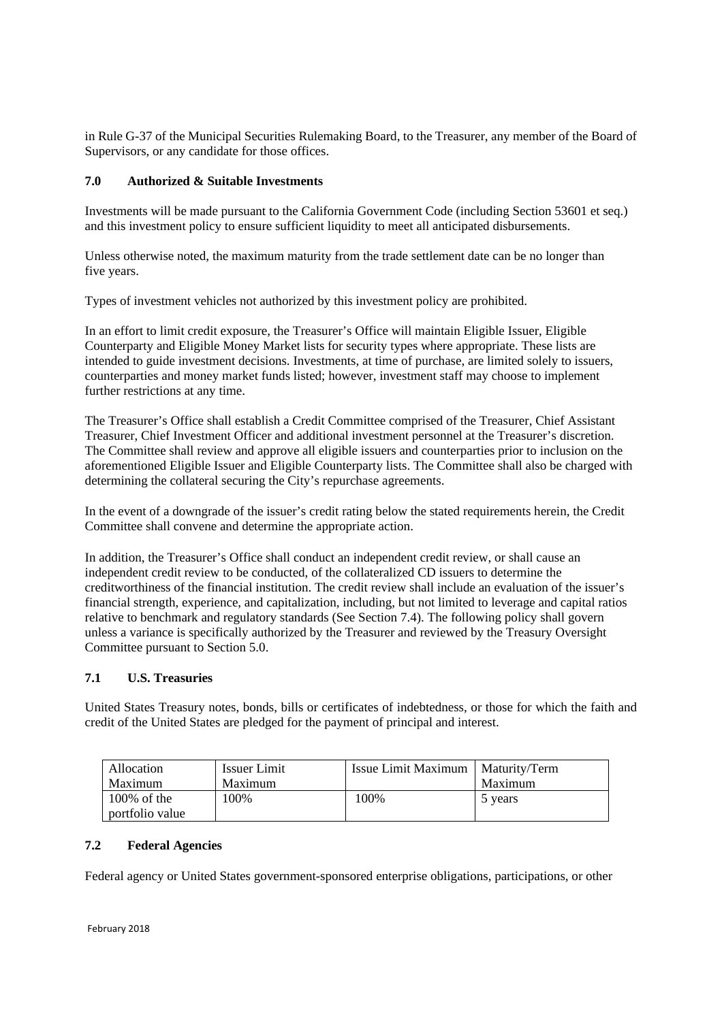in Rule G-37 of the Municipal Securities Rulemaking Board, to the Treasurer, any member of the Board of Supervisors, or any candidate for those offices.

## **7.0 Authorized & Suitable Investments**

Investments will be made pursuant to the California Government Code (including Section 53601 et seq.) and this investment policy to ensure sufficient liquidity to meet all anticipated disbursements.

Unless otherwise noted, the maximum maturity from the trade settlement date can be no longer than five years.

Types of investment vehicles not authorized by this investment policy are prohibited.

In an effort to limit credit exposure, the Treasurer's Office will maintain Eligible Issuer, Eligible Counterparty and Eligible Money Market lists for security types where appropriate. These lists are intended to guide investment decisions. Investments, at time of purchase, are limited solely to issuers, counterparties and money market funds listed; however, investment staff may choose to implement further restrictions at any time.

The Treasurer's Office shall establish a Credit Committee comprised of the Treasurer, Chief Assistant Treasurer, Chief Investment Officer and additional investment personnel at the Treasurer's discretion. The Committee shall review and approve all eligible issuers and counterparties prior to inclusion on the aforementioned Eligible Issuer and Eligible Counterparty lists. The Committee shall also be charged with determining the collateral securing the City's repurchase agreements.

In the event of a downgrade of the issuer's credit rating below the stated requirements herein, the Credit Committee shall convene and determine the appropriate action.

In addition, the Treasurer's Office shall conduct an independent credit review, or shall cause an independent credit review to be conducted, of the collateralized CD issuers to determine the creditworthiness of the financial institution. The credit review shall include an evaluation of the issuer's financial strength, experience, and capitalization, including, but not limited to leverage and capital ratios relative to benchmark and regulatory standards (See Section 7.4). The following policy shall govern unless a variance is specifically authorized by the Treasurer and reviewed by the Treasury Oversight Committee pursuant to Section 5.0.

# **7.1 U.S. Treasuries**

United States Treasury notes, bonds, bills or certificates of indebtedness, or those for which the faith and credit of the United States are pledged for the payment of principal and interest.

| Allocation      | <b>Issuer Limit</b> | Issue Limit Maximum | Maturity/Term |
|-----------------|---------------------|---------------------|---------------|
| Maximum         | Maximum             |                     | Maximum       |
| $100\%$ of the  | 100%                | 100%                | 5 years       |
| portfolio value |                     |                     |               |

## **7.2 Federal Agencies**

Federal agency or United States government-sponsored enterprise obligations, participations, or other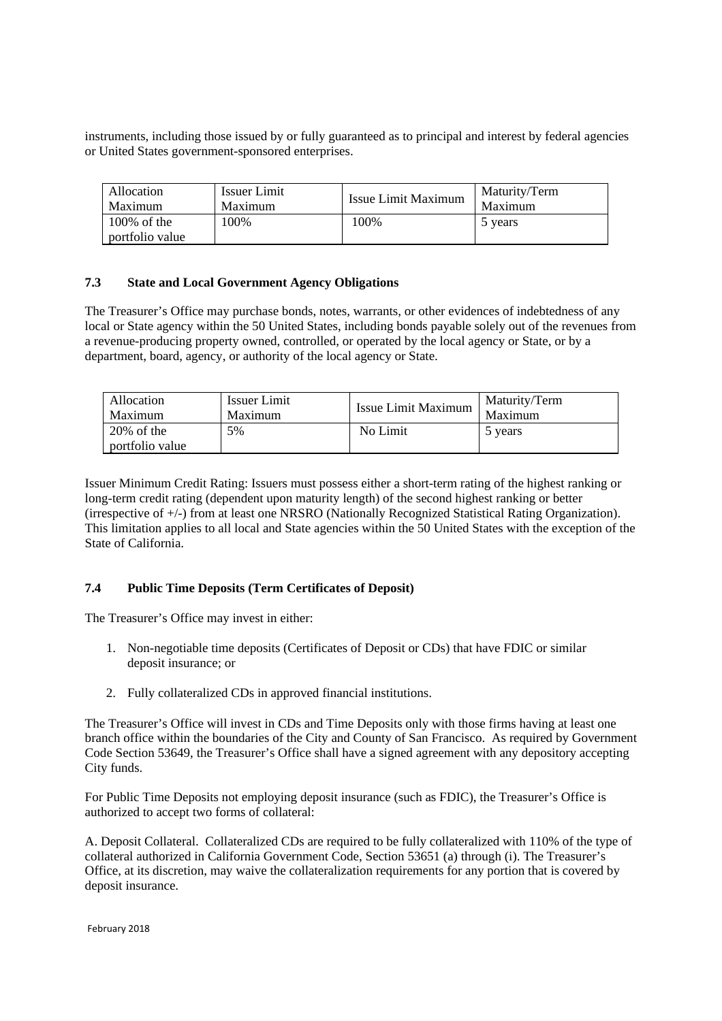instruments, including those issued by or fully guaranteed as to principal and interest by federal agencies or United States government-sponsored enterprises.

| Allocation                        | <b>Issuer Limit</b> | Issue Limit Maximum | Maturity/Term |
|-----------------------------------|---------------------|---------------------|---------------|
| Maximum                           | Maximum             |                     | Maximum       |
| $100\%$ of the<br>portfolio value | 100\%               | 100\%               | 5 years       |

## **7.3 State and Local Government Agency Obligations**

The Treasurer's Office may purchase bonds, notes, warrants, or other evidences of indebtedness of any local or State agency within the 50 United States, including bonds payable solely out of the revenues from a revenue-producing property owned, controlled, or operated by the local agency or State, or by a department, board, agency, or authority of the local agency or State.

| Allocation                       | Issuer Limit | Issue Limit Maximum | Maturity/Term |
|----------------------------------|--------------|---------------------|---------------|
| Maximum                          | Maximum      |                     | Maximum       |
| $20\%$ of the<br>portfolio value | 5%           | No Limit            | 5 years       |

Issuer Minimum Credit Rating: Issuers must possess either a short-term rating of the highest ranking or long-term credit rating (dependent upon maturity length) of the second highest ranking or better (irrespective of +/-) from at least one NRSRO (Nationally Recognized Statistical Rating Organization). This limitation applies to all local and State agencies within the 50 United States with the exception of the State of California.

## **7.4 Public Time Deposits (Term Certificates of Deposit)**

The Treasurer's Office may invest in either:

- 1. Non-negotiable time deposits (Certificates of Deposit or CDs) that have FDIC or similar deposit insurance; or
- 2. Fully collateralized CDs in approved financial institutions.

The Treasurer's Office will invest in CDs and Time Deposits only with those firms having at least one branch office within the boundaries of the City and County of San Francisco. As required by Government Code Section 53649, the Treasurer's Office shall have a signed agreement with any depository accepting City funds.

For Public Time Deposits not employing deposit insurance (such as FDIC), the Treasurer's Office is authorized to accept two forms of collateral:

A. Deposit Collateral. Collateralized CDs are required to be fully collateralized with 110% of the type of collateral authorized in California Government Code, Section 53651 (a) through (i). The Treasurer's Office, at its discretion, may waive the collateralization requirements for any portion that is covered by deposit insurance.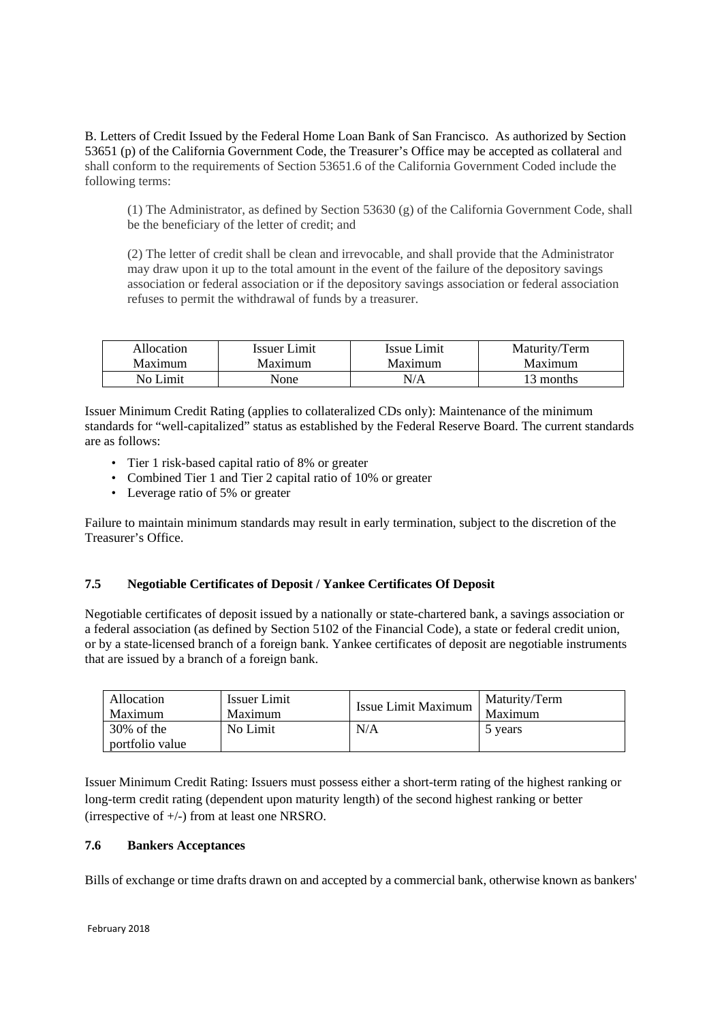B. Letters of Credit Issued by the Federal Home Loan Bank of San Francisco. As authorized by Section 53651 (p) of the California Government Code, the Treasurer's Office may be accepted as collateral and shall conform to the requirements of Section 53651.6 of the California Government Coded include the following terms:

(1) The Administrator, as defined by Section 53630 (g) of the California Government Code, shall be the beneficiary of the letter of credit; and

(2) The letter of credit shall be clean and irrevocable, and shall provide that the Administrator may draw upon it up to the total amount in the event of the failure of the depository savings association or federal association or if the depository savings association or federal association refuses to permit the withdrawal of funds by a treasurer.

| Allocation     | Issuer Limit | Issue Limit | Maturity/Term |
|----------------|--------------|-------------|---------------|
| <b>Maximum</b> | Maximum      | Maximum     | Maximum       |
| No Limit       | None         | N/A         | 13 months     |

Issuer Minimum Credit Rating (applies to collateralized CDs only): Maintenance of the minimum standards for "well-capitalized" status as established by the Federal Reserve Board. The current standards are as follows:

- Tier 1 risk-based capital ratio of 8% or greater
- Combined Tier 1 and Tier 2 capital ratio of 10% or greater
- Leverage ratio of 5% or greater

Failure to maintain minimum standards may result in early termination, subject to the discretion of the Treasurer's Office.

# **7.5 Negotiable Certificates of Deposit / Yankee Certificates Of Deposit**

Negotiable certificates of deposit issued by a nationally or state-chartered bank, a savings association or a federal association (as defined by Section 5102 of the Financial Code), a state or federal credit union, or by a state-licensed branch of a foreign bank. Yankee certificates of deposit are negotiable instruments that are issued by a branch of a foreign bank.

| Allocation                       | <b>Issuer Limit</b> | Issue Limit Maximum | Maturity/Term |
|----------------------------------|---------------------|---------------------|---------------|
| Maximum                          | Maximum             |                     | Maximum       |
| $30\%$ of the<br>portfolio value | No Limit            | N/A                 | 5 years       |

Issuer Minimum Credit Rating: Issuers must possess either a short-term rating of the highest ranking or long-term credit rating (dependent upon maturity length) of the second highest ranking or better (irrespective of +/-) from at least one NRSRO.

## **7.6 Bankers Acceptances**

Bills of exchange or time drafts drawn on and accepted by a commercial bank, otherwise known as bankers'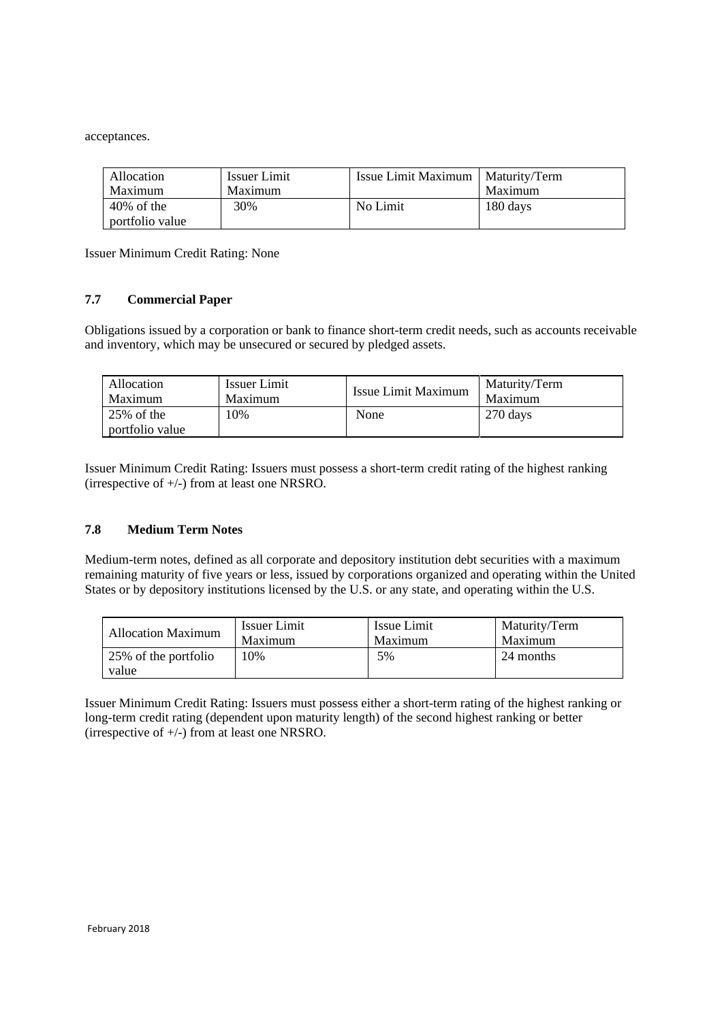acceptances.

| Allocation      | <b>Issuer Limit</b> | Issue Limit Maximum   Maturity/Term |          |
|-----------------|---------------------|-------------------------------------|----------|
| Maximum         | Maximum             |                                     | Maximum  |
| $40\%$ of the   | 30%                 | No Limit                            | 180 days |
| portfolio value |                     |                                     |          |

Issuer Minimum Credit Rating: None

#### **7.7 Commercial Paper**

Obligations issued by a corporation or bank to finance short-term credit needs, such as accounts receivable and inventory, which may be unsecured or secured by pledged assets.

| Allocation                       | Issuer Limit | Issue Limit Maximum | Maturity/Term |
|----------------------------------|--------------|---------------------|---------------|
| Maximum                          | Maximum      |                     | Maximum       |
| $25\%$ of the<br>portfolio value | 10%          | None                | 270 days      |

Issuer Minimum Credit Rating: Issuers must possess a short-term credit rating of the highest ranking (irrespective of +/-) from at least one NRSRO.

## **7.8 Medium Term Notes**

Medium-term notes, defined as all corporate and depository institution debt securities with a maximum remaining maturity of five years or less, issued by corporations organized and operating within the United States or by depository institutions licensed by the U.S. or any state, and operating within the U.S.

| <b>Allocation Maximum</b>     | Issuer Limit | Issue Limit | Maturity/Term |
|-------------------------------|--------------|-------------|---------------|
|                               | Maximum      | Maximum     | Maximum       |
| 25% of the portfolio<br>value | 10%          | 5%          | 24 months     |

Issuer Minimum Credit Rating: Issuers must possess either a short-term rating of the highest ranking or long-term credit rating (dependent upon maturity length) of the second highest ranking or better (irrespective of +/-) from at least one NRSRO.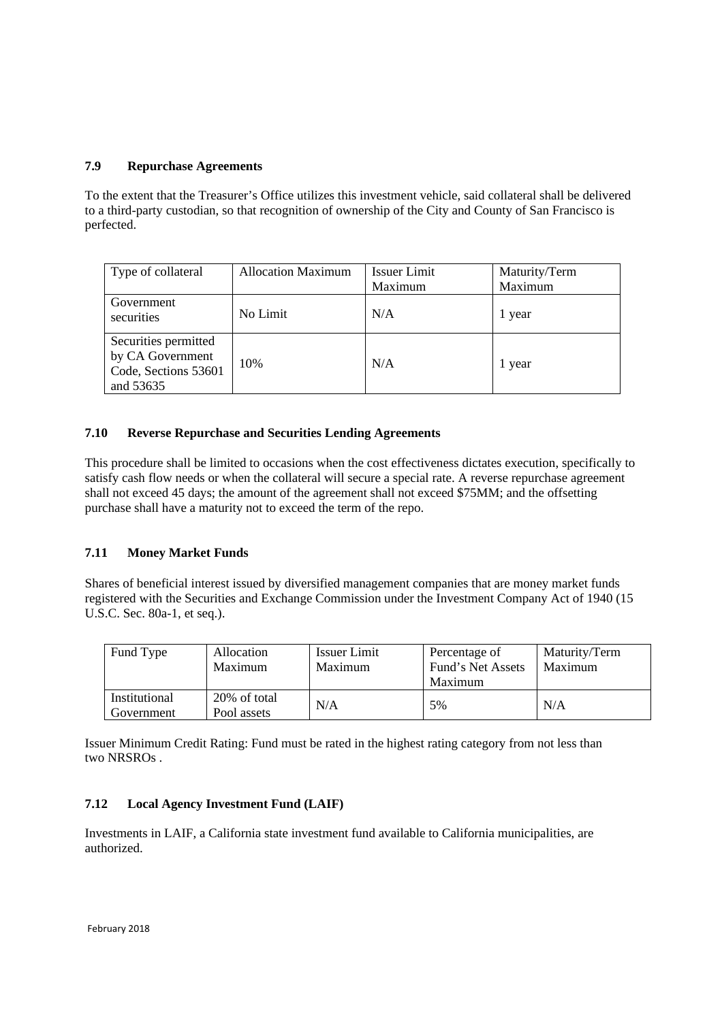## **7.9 Repurchase Agreements**

To the extent that the Treasurer's Office utilizes this investment vehicle, said collateral shall be delivered to a third-party custodian, so that recognition of ownership of the City and County of San Francisco is perfected.

| Type of collateral                                                            | <b>Allocation Maximum</b> | Issuer Limit<br>Maximum | Maturity/Term<br>Maximum |
|-------------------------------------------------------------------------------|---------------------------|-------------------------|--------------------------|
| Government<br>securities                                                      | No Limit                  | N/A                     | 1 year                   |
| Securities permitted<br>by CA Government<br>Code, Sections 53601<br>and 53635 | 10%                       | N/A                     | l year                   |

# **7.10 Reverse Repurchase and Securities Lending Agreements**

This procedure shall be limited to occasions when the cost effectiveness dictates execution, specifically to satisfy cash flow needs or when the collateral will secure a special rate. A reverse repurchase agreement shall not exceed 45 days; the amount of the agreement shall not exceed \$75MM; and the offsetting purchase shall have a maturity not to exceed the term of the repo.

## **7.11 Money Market Funds**

Shares of beneficial interest issued by diversified management companies that are money market funds registered with the Securities and Exchange Commission under the Investment Company Act of 1940 (15 U.S.C. Sec. 80a-1, et seq.).

| Fund Type                   | Allocation<br>Maximum       | Issuer Limit<br>Maximum | Percentage of<br>Fund's Net Assets<br>Maximum | Maturity/Term<br>Maximum |
|-----------------------------|-----------------------------|-------------------------|-----------------------------------------------|--------------------------|
| Institutional<br>Government | 20% of total<br>Pool assets | N/A                     | 5%                                            | N/A                      |

Issuer Minimum Credit Rating: Fund must be rated in the highest rating category from not less than two NRSROs .

## **7.12 Local Agency Investment Fund (LAIF)**

Investments in LAIF, a California state investment fund available to California municipalities, are authorized.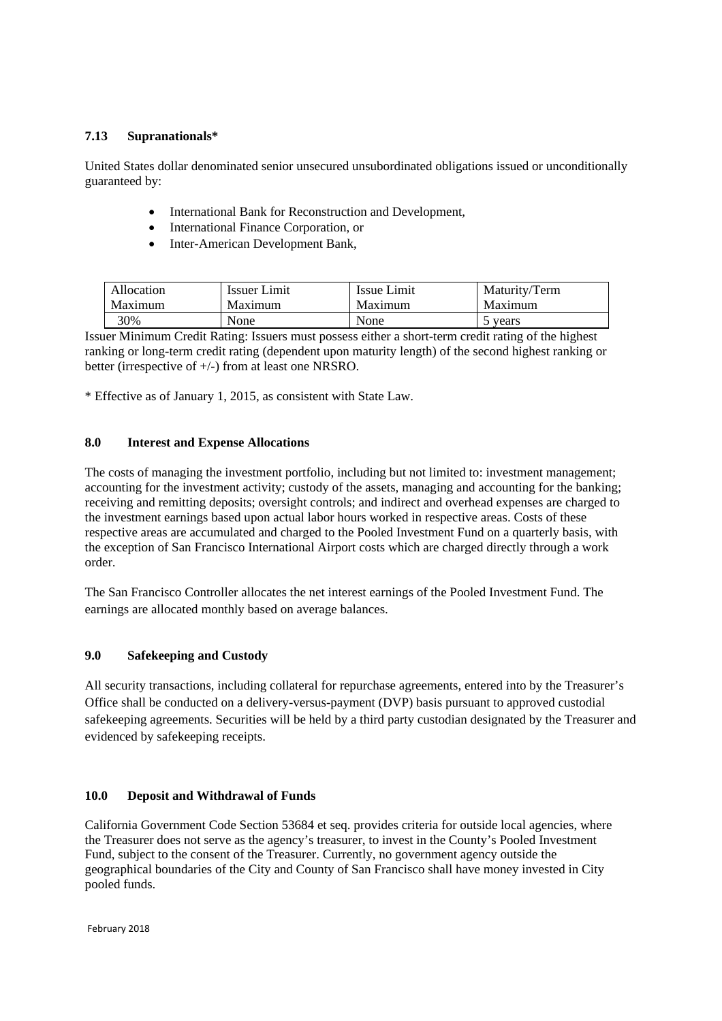## **7.13 Supranationals\***

United States dollar denominated senior unsecured unsubordinated obligations issued or unconditionally guaranteed by:

- International Bank for Reconstruction and Development,
- International Finance Corporation, or
- Inter-American Development Bank,

| Allocation | Issuer Limit | Issue Limit | Maturity/Term |
|------------|--------------|-------------|---------------|
| Maximum    | Maximum      | Maximum     | Maximum       |
| 30%        | None         | None        | 5 years       |

Issuer Minimum Credit Rating: Issuers must possess either a short-term credit rating of the highest ranking or long-term credit rating (dependent upon maturity length) of the second highest ranking or better (irrespective of +/-) from at least one NRSRO.

\* Effective as of January 1, 2015, as consistent with State Law.

## **8.0 Interest and Expense Allocations**

The costs of managing the investment portfolio, including but not limited to: investment management; accounting for the investment activity; custody of the assets, managing and accounting for the banking; receiving and remitting deposits; oversight controls; and indirect and overhead expenses are charged to the investment earnings based upon actual labor hours worked in respective areas. Costs of these respective areas are accumulated and charged to the Pooled Investment Fund on a quarterly basis, with the exception of San Francisco International Airport costs which are charged directly through a work order.

The San Francisco Controller allocates the net interest earnings of the Pooled Investment Fund. The earnings are allocated monthly based on average balances.

## **9.0 Safekeeping and Custody**

All security transactions, including collateral for repurchase agreements, entered into by the Treasurer's Office shall be conducted on a delivery-versus-payment (DVP) basis pursuant to approved custodial safekeeping agreements. Securities will be held by a third party custodian designated by the Treasurer and evidenced by safekeeping receipts.

## **10.0 Deposit and Withdrawal of Funds**

California Government Code Section 53684 et seq. provides criteria for outside local agencies, where the Treasurer does not serve as the agency's treasurer, to invest in the County's Pooled Investment Fund, subject to the consent of the Treasurer. Currently, no government agency outside the geographical boundaries of the City and County of San Francisco shall have money invested in City pooled funds.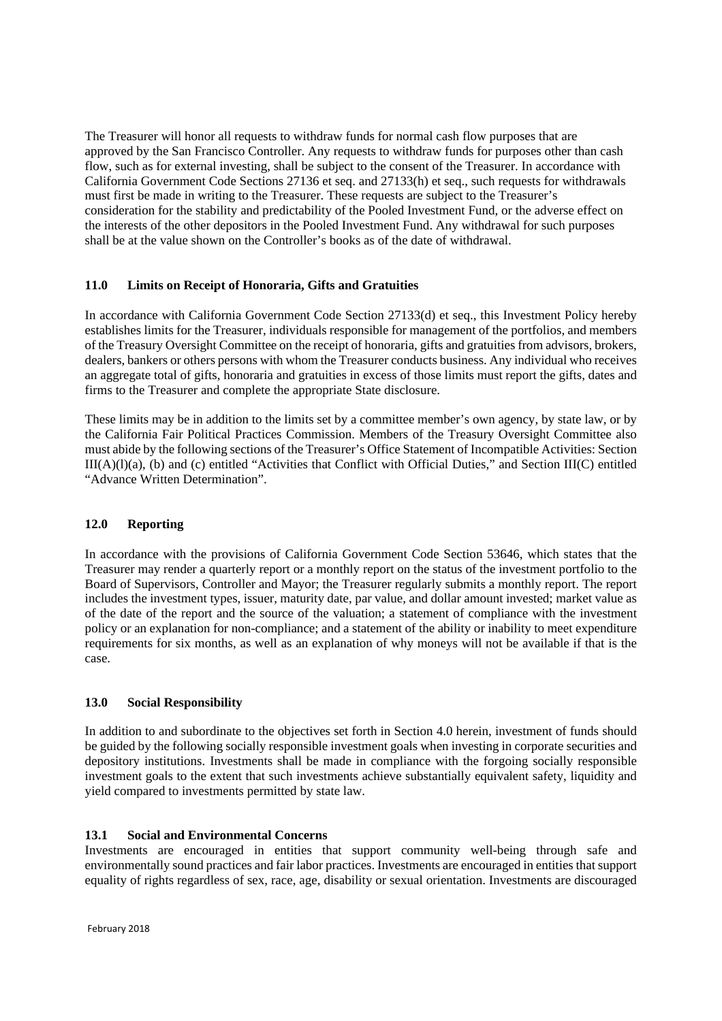The Treasurer will honor all requests to withdraw funds for normal cash flow purposes that are approved by the San Francisco Controller. Any requests to withdraw funds for purposes other than cash flow, such as for external investing, shall be subject to the consent of the Treasurer. In accordance with California Government Code Sections 27136 et seq. and 27133(h) et seq., such requests for withdrawals must first be made in writing to the Treasurer. These requests are subject to the Treasurer's consideration for the stability and predictability of the Pooled Investment Fund, or the adverse effect on the interests of the other depositors in the Pooled Investment Fund. Any withdrawal for such purposes shall be at the value shown on the Controller's books as of the date of withdrawal.

# **11.0 Limits on Receipt of Honoraria, Gifts and Gratuities**

In accordance with California Government Code Section 27133(d) et seq., this Investment Policy hereby establishes limits for the Treasurer, individuals responsible for management of the portfolios, and members of the Treasury Oversight Committee on the receipt of honoraria, gifts and gratuities from advisors, brokers, dealers, bankers or others persons with whom the Treasurer conducts business. Any individual who receives an aggregate total of gifts, honoraria and gratuities in excess of those limits must report the gifts, dates and firms to the Treasurer and complete the appropriate State disclosure.

These limits may be in addition to the limits set by a committee member's own agency, by state law, or by the California Fair Political Practices Commission. Members of the Treasury Oversight Committee also must abide by the following sections of the Treasurer's Office Statement of Incompatible Activities: Section III(A)(l)(a), (b) and (c) entitled "Activities that Conflict with Official Duties," and Section III(C) entitled "Advance Written Determination".

## **12.0 Reporting**

In accordance with the provisions of California Government Code Section 53646, which states that the Treasurer may render a quarterly report or a monthly report on the status of the investment portfolio to the Board of Supervisors, Controller and Mayor; the Treasurer regularly submits a monthly report. The report includes the investment types, issuer, maturity date, par value, and dollar amount invested; market value as of the date of the report and the source of the valuation; a statement of compliance with the investment policy or an explanation for non-compliance; and a statement of the ability or inability to meet expenditure requirements for six months, as well as an explanation of why moneys will not be available if that is the case.

## **13.0 Social Responsibility**

In addition to and subordinate to the objectives set forth in Section 4.0 herein, investment of funds should be guided by the following socially responsible investment goals when investing in corporate securities and depository institutions. Investments shall be made in compliance with the forgoing socially responsible investment goals to the extent that such investments achieve substantially equivalent safety, liquidity and yield compared to investments permitted by state law.

## **13.1 Social and Environmental Concerns**

Investments are encouraged in entities that support community well-being through safe and environmentally sound practices and fair labor practices. Investments are encouraged in entities that support equality of rights regardless of sex, race, age, disability or sexual orientation. Investments are discouraged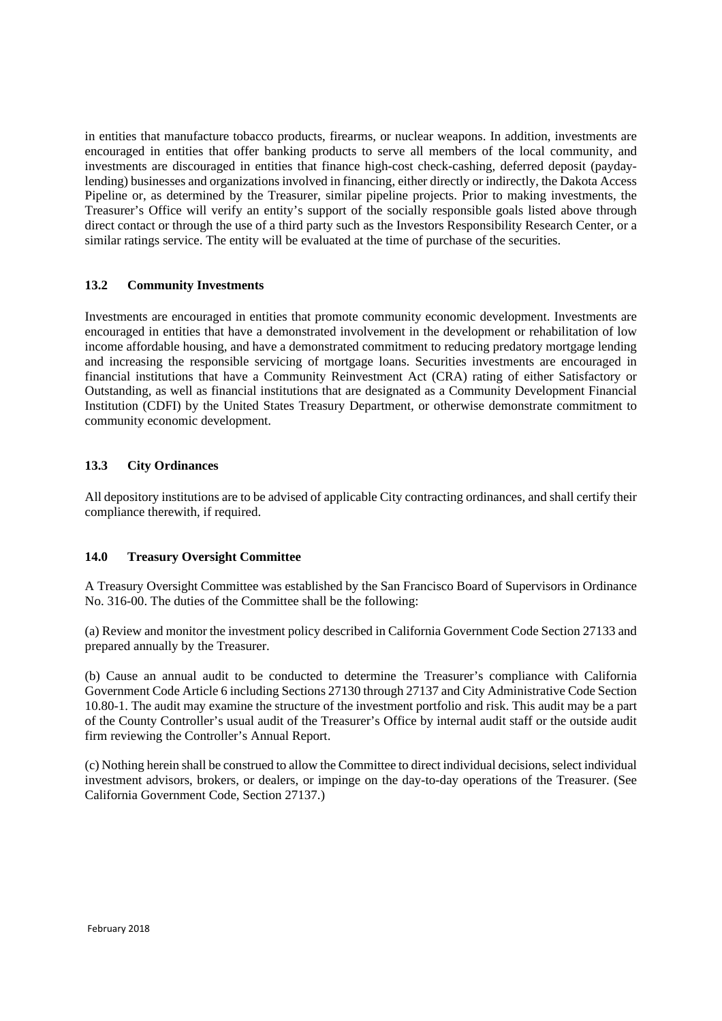in entities that manufacture tobacco products, firearms, or nuclear weapons. In addition, investments are encouraged in entities that offer banking products to serve all members of the local community, and investments are discouraged in entities that finance high-cost check-cashing, deferred deposit (paydaylending) businesses and organizations involved in financing, either directly or indirectly, the Dakota Access Pipeline or, as determined by the Treasurer, similar pipeline projects. Prior to making investments, the Treasurer's Office will verify an entity's support of the socially responsible goals listed above through direct contact or through the use of a third party such as the Investors Responsibility Research Center, or a similar ratings service. The entity will be evaluated at the time of purchase of the securities.

# **13.2 Community Investments**

Investments are encouraged in entities that promote community economic development. Investments are encouraged in entities that have a demonstrated involvement in the development or rehabilitation of low income affordable housing, and have a demonstrated commitment to reducing predatory mortgage lending and increasing the responsible servicing of mortgage loans. Securities investments are encouraged in financial institutions that have a Community Reinvestment Act (CRA) rating of either Satisfactory or Outstanding, as well as financial institutions that are designated as a Community Development Financial Institution (CDFI) by the United States Treasury Department, or otherwise demonstrate commitment to community economic development.

# **13.3 City Ordinances**

All depository institutions are to be advised of applicable City contracting ordinances, and shall certify their compliance therewith, if required.

## **14.0 Treasury Oversight Committee**

A Treasury Oversight Committee was established by the San Francisco Board of Supervisors in Ordinance No. 316-00. The duties of the Committee shall be the following:

(a) Review and monitor the investment policy described in California Government Code Section 27133 and prepared annually by the Treasurer.

(b) Cause an annual audit to be conducted to determine the Treasurer's compliance with California Government Code Article 6 including Sections 27130 through 27137 and City Administrative Code Section 10.80-1. The audit may examine the structure of the investment portfolio and risk. This audit may be a part of the County Controller's usual audit of the Treasurer's Office by internal audit staff or the outside audit firm reviewing the Controller's Annual Report.

(c) Nothing herein shall be construed to allow the Committee to direct individual decisions, select individual investment advisors, brokers, or dealers, or impinge on the day-to-day operations of the Treasurer. (See California Government Code, Section 27137.)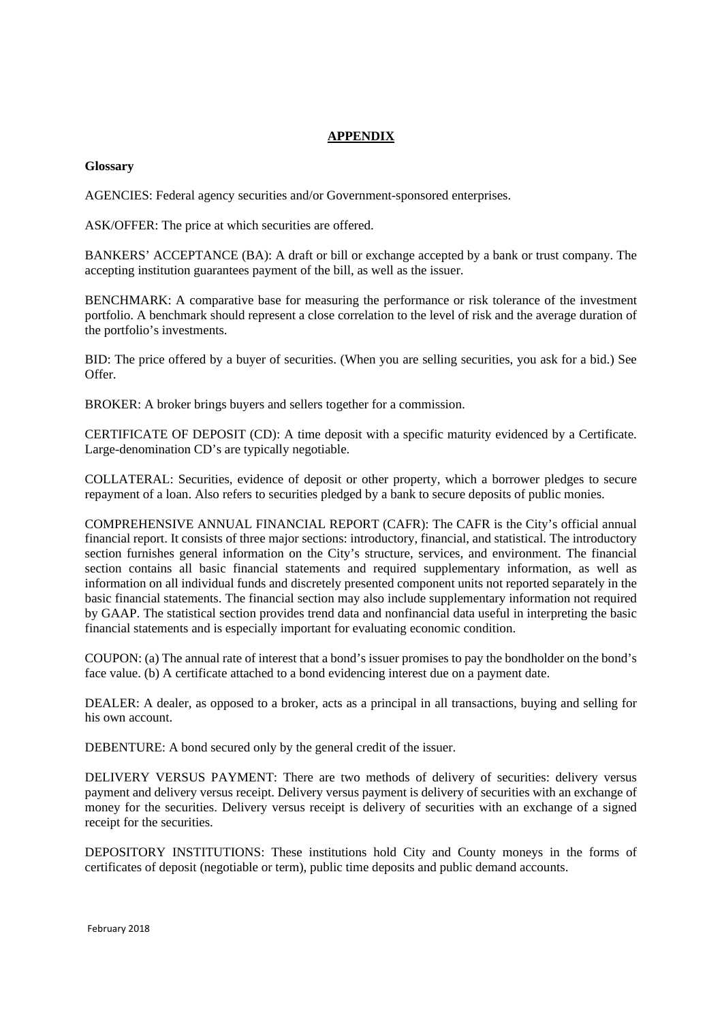# **APPENDIX**

#### **Glossary**

AGENCIES: Federal agency securities and/or Government-sponsored enterprises.

ASK/OFFER: The price at which securities are offered.

BANKERS' ACCEPTANCE (BA): A draft or bill or exchange accepted by a bank or trust company. The accepting institution guarantees payment of the bill, as well as the issuer.

BENCHMARK: A comparative base for measuring the performance or risk tolerance of the investment portfolio. A benchmark should represent a close correlation to the level of risk and the average duration of the portfolio's investments.

BID: The price offered by a buyer of securities. (When you are selling securities, you ask for a bid.) See Offer.

BROKER: A broker brings buyers and sellers together for a commission.

CERTIFICATE OF DEPOSIT (CD): A time deposit with a specific maturity evidenced by a Certificate. Large-denomination CD's are typically negotiable.

COLLATERAL: Securities, evidence of deposit or other property, which a borrower pledges to secure repayment of a loan. Also refers to securities pledged by a bank to secure deposits of public monies.

COMPREHENSIVE ANNUAL FINANCIAL REPORT (CAFR): The CAFR is the City's official annual financial report. It consists of three major sections: introductory, financial, and statistical. The introductory section furnishes general information on the City's structure, services, and environment. The financial section contains all basic financial statements and required supplementary information, as well as information on all individual funds and discretely presented component units not reported separately in the basic financial statements. The financial section may also include supplementary information not required by GAAP. The statistical section provides trend data and nonfinancial data useful in interpreting the basic financial statements and is especially important for evaluating economic condition.

COUPON: (a) The annual rate of interest that a bond's issuer promises to pay the bondholder on the bond's face value. (b) A certificate attached to a bond evidencing interest due on a payment date.

DEALER: A dealer, as opposed to a broker, acts as a principal in all transactions, buying and selling for his own account.

DEBENTURE: A bond secured only by the general credit of the issuer.

DELIVERY VERSUS PAYMENT: There are two methods of delivery of securities: delivery versus payment and delivery versus receipt. Delivery versus payment is delivery of securities with an exchange of money for the securities. Delivery versus receipt is delivery of securities with an exchange of a signed receipt for the securities.

DEPOSITORY INSTITUTIONS: These institutions hold City and County moneys in the forms of certificates of deposit (negotiable or term), public time deposits and public demand accounts.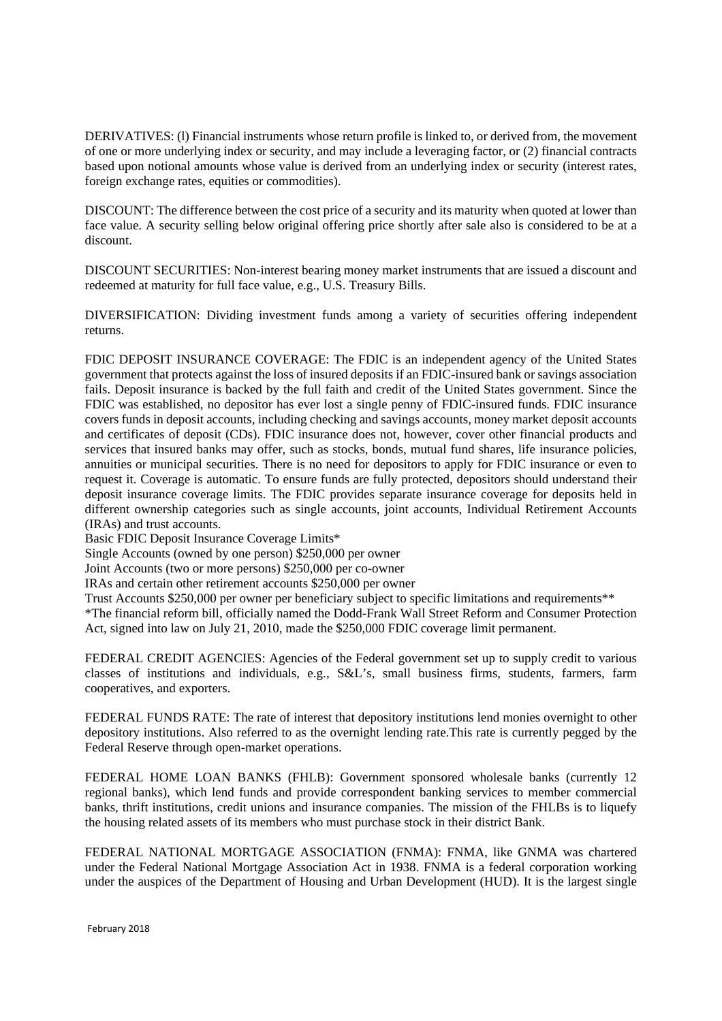DERIVATIVES: (l) Financial instruments whose return profile is linked to, or derived from, the movement of one or more underlying index or security, and may include a leveraging factor, or (2) financial contracts based upon notional amounts whose value is derived from an underlying index or security (interest rates, foreign exchange rates, equities or commodities).

DISCOUNT: The difference between the cost price of a security and its maturity when quoted at lower than face value. A security selling below original offering price shortly after sale also is considered to be at a discount.

DISCOUNT SECURITIES: Non-interest bearing money market instruments that are issued a discount and redeemed at maturity for full face value, e.g., U.S. Treasury Bills.

DIVERSIFICATION: Dividing investment funds among a variety of securities offering independent returns.

FDIC DEPOSIT INSURANCE COVERAGE: The FDIC is an independent agency of the United States government that protects against the loss of insured deposits if an FDIC-insured bank or savings association fails. Deposit insurance is backed by the full faith and credit of the United States government. Since the FDIC was established, no depositor has ever lost a single penny of FDIC-insured funds. FDIC insurance covers funds in deposit accounts, including checking and savings accounts, money market deposit accounts and certificates of deposit (CDs). FDIC insurance does not, however, cover other financial products and services that insured banks may offer, such as stocks, bonds, mutual fund shares, life insurance policies, annuities or municipal securities. There is no need for depositors to apply for FDIC insurance or even to request it. Coverage is automatic. To ensure funds are fully protected, depositors should understand their deposit insurance coverage limits. The FDIC provides separate insurance coverage for deposits held in different ownership categories such as single accounts, joint accounts, Individual Retirement Accounts (IRAs) and trust accounts.

Basic FDIC Deposit Insurance Coverage Limits\*

Single Accounts (owned by one person) \$250,000 per owner

Joint Accounts (two or more persons) \$250,000 per co-owner

IRAs and certain other retirement accounts \$250,000 per owner

Trust Accounts \$250,000 per owner per beneficiary subject to specific limitations and requirements\*\*

\*The financial reform bill, officially named the Dodd-Frank Wall Street Reform and Consumer Protection Act, signed into law on July 21, 2010, made the \$250,000 FDIC coverage limit permanent.

FEDERAL CREDIT AGENCIES: Agencies of the Federal government set up to supply credit to various classes of institutions and individuals, e.g., S&L's, small business firms, students, farmers, farm cooperatives, and exporters.

FEDERAL FUNDS RATE: The rate of interest that depository institutions lend monies overnight to other depository institutions. Also referred to as the overnight lending rate.This rate is currently pegged by the Federal Reserve through open-market operations.

FEDERAL HOME LOAN BANKS (FHLB): Government sponsored wholesale banks (currently 12 regional banks), which lend funds and provide correspondent banking services to member commercial banks, thrift institutions, credit unions and insurance companies. The mission of the FHLBs is to liquefy the housing related assets of its members who must purchase stock in their district Bank.

FEDERAL NATIONAL MORTGAGE ASSOCIATION (FNMA): FNMA, like GNMA was chartered under the Federal National Mortgage Association Act in 1938. FNMA is a federal corporation working under the auspices of the Department of Housing and Urban Development (HUD). It is the largest single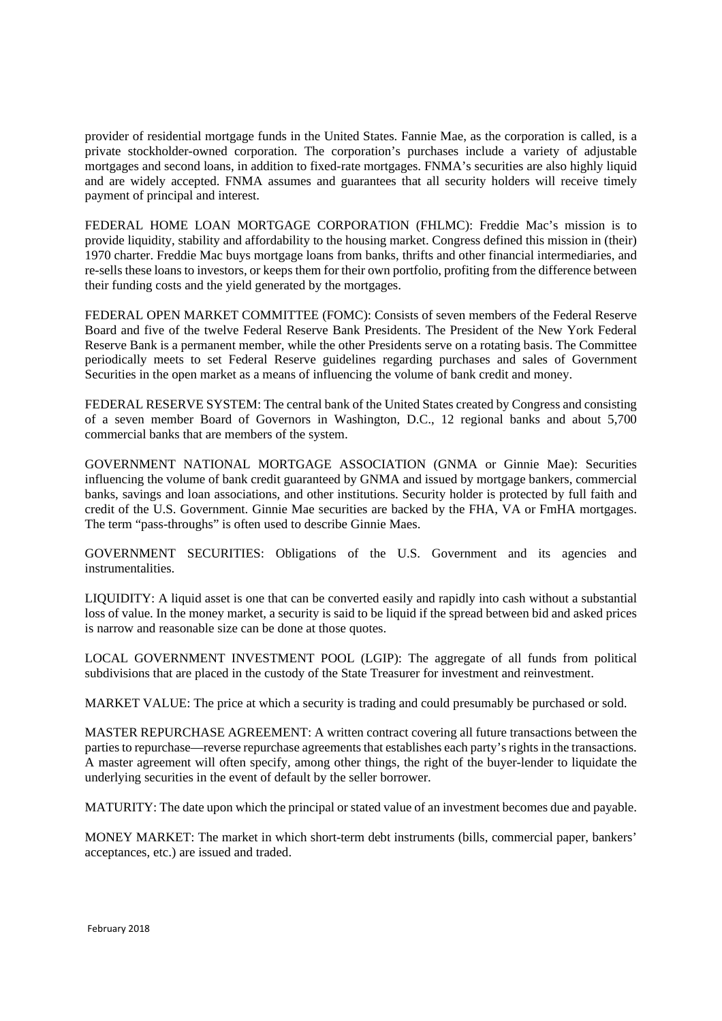provider of residential mortgage funds in the United States. Fannie Mae, as the corporation is called, is a private stockholder-owned corporation. The corporation's purchases include a variety of adjustable mortgages and second loans, in addition to fixed-rate mortgages. FNMA's securities are also highly liquid and are widely accepted. FNMA assumes and guarantees that all security holders will receive timely payment of principal and interest.

FEDERAL HOME LOAN MORTGAGE CORPORATION (FHLMC): Freddie Mac's mission is to provide liquidity, stability and affordability to the housing market. Congress defined this mission in (their) 1970 charter. Freddie Mac buys mortgage loans from banks, thrifts and other financial intermediaries, and re-sells these loans to investors, or keeps them for their own portfolio, profiting from the difference between their funding costs and the yield generated by the mortgages.

FEDERAL OPEN MARKET COMMITTEE (FOMC): Consists of seven members of the Federal Reserve Board and five of the twelve Federal Reserve Bank Presidents. The President of the New York Federal Reserve Bank is a permanent member, while the other Presidents serve on a rotating basis. The Committee periodically meets to set Federal Reserve guidelines regarding purchases and sales of Government Securities in the open market as a means of influencing the volume of bank credit and money.

FEDERAL RESERVE SYSTEM: The central bank of the United States created by Congress and consisting of a seven member Board of Governors in Washington, D.C., 12 regional banks and about 5,700 commercial banks that are members of the system.

GOVERNMENT NATIONAL MORTGAGE ASSOCIATION (GNMA or Ginnie Mae): Securities influencing the volume of bank credit guaranteed by GNMA and issued by mortgage bankers, commercial banks, savings and loan associations, and other institutions. Security holder is protected by full faith and credit of the U.S. Government. Ginnie Mae securities are backed by the FHA, VA or FmHA mortgages. The term "pass-throughs" is often used to describe Ginnie Maes.

GOVERNMENT SECURITIES: Obligations of the U.S. Government and its agencies and instrumentalities.

LIQUIDITY: A liquid asset is one that can be converted easily and rapidly into cash without a substantial loss of value. In the money market, a security is said to be liquid if the spread between bid and asked prices is narrow and reasonable size can be done at those quotes.

LOCAL GOVERNMENT INVESTMENT POOL (LGIP): The aggregate of all funds from political subdivisions that are placed in the custody of the State Treasurer for investment and reinvestment.

MARKET VALUE: The price at which a security is trading and could presumably be purchased or sold.

MASTER REPURCHASE AGREEMENT: A written contract covering all future transactions between the parties to repurchase—reverse repurchase agreements that establishes each party's rights in the transactions. A master agreement will often specify, among other things, the right of the buyer-lender to liquidate the underlying securities in the event of default by the seller borrower.

MATURITY: The date upon which the principal or stated value of an investment becomes due and payable.

MONEY MARKET: The market in which short-term debt instruments (bills, commercial paper, bankers' acceptances, etc.) are issued and traded.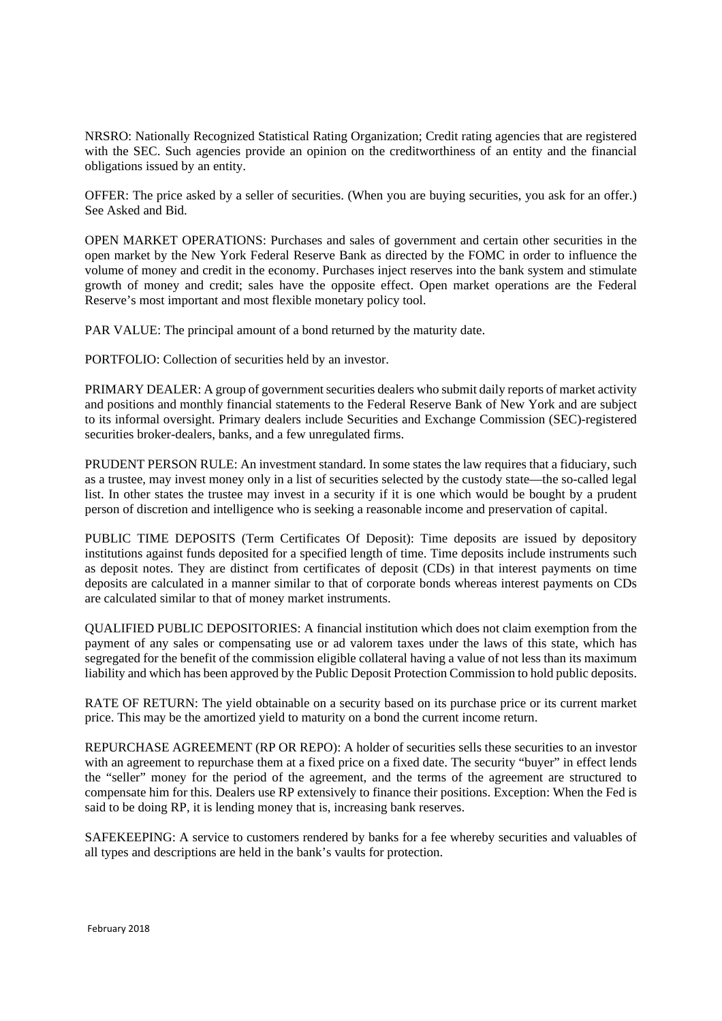NRSRO: Nationally Recognized Statistical Rating Organization; Credit rating agencies that are registered with the SEC. Such agencies provide an opinion on the creditworthiness of an entity and the financial obligations issued by an entity.

OFFER: The price asked by a seller of securities. (When you are buying securities, you ask for an offer.) See Asked and Bid.

OPEN MARKET OPERATIONS: Purchases and sales of government and certain other securities in the open market by the New York Federal Reserve Bank as directed by the FOMC in order to influence the volume of money and credit in the economy. Purchases inject reserves into the bank system and stimulate growth of money and credit; sales have the opposite effect. Open market operations are the Federal Reserve's most important and most flexible monetary policy tool.

PAR VALUE: The principal amount of a bond returned by the maturity date.

PORTFOLIO: Collection of securities held by an investor.

PRIMARY DEALER: A group of government securities dealers who submit daily reports of market activity and positions and monthly financial statements to the Federal Reserve Bank of New York and are subject to its informal oversight. Primary dealers include Securities and Exchange Commission (SEC)-registered securities broker-dealers, banks, and a few unregulated firms.

PRUDENT PERSON RULE: An investment standard. In some states the law requires that a fiduciary, such as a trustee, may invest money only in a list of securities selected by the custody state—the so-called legal list. In other states the trustee may invest in a security if it is one which would be bought by a prudent person of discretion and intelligence who is seeking a reasonable income and preservation of capital.

PUBLIC TIME DEPOSITS (Term Certificates Of Deposit): Time deposits are issued by depository institutions against funds deposited for a specified length of time. Time deposits include instruments such as deposit notes. They are distinct from certificates of deposit (CDs) in that interest payments on time deposits are calculated in a manner similar to that of corporate bonds whereas interest payments on CDs are calculated similar to that of money market instruments.

QUALIFIED PUBLIC DEPOSITORIES: A financial institution which does not claim exemption from the payment of any sales or compensating use or ad valorem taxes under the laws of this state, which has segregated for the benefit of the commission eligible collateral having a value of not less than its maximum liability and which has been approved by the Public Deposit Protection Commission to hold public deposits.

RATE OF RETURN: The yield obtainable on a security based on its purchase price or its current market price. This may be the amortized yield to maturity on a bond the current income return.

REPURCHASE AGREEMENT (RP OR REPO): A holder of securities sells these securities to an investor with an agreement to repurchase them at a fixed price on a fixed date. The security "buyer" in effect lends the "seller" money for the period of the agreement, and the terms of the agreement are structured to compensate him for this. Dealers use RP extensively to finance their positions. Exception: When the Fed is said to be doing RP, it is lending money that is, increasing bank reserves.

SAFEKEEPING: A service to customers rendered by banks for a fee whereby securities and valuables of all types and descriptions are held in the bank's vaults for protection.